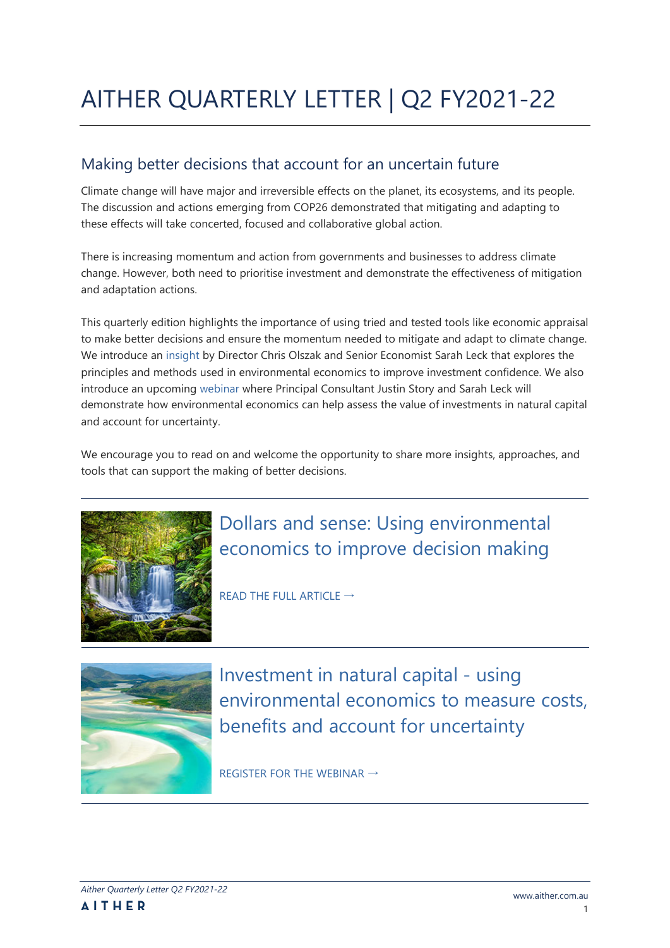# AITHER QUARTERLY LETTER | Q2 FY2021-22

### Making better decisions that account for an uncertain future

Climate change will have major and irreversible effects on the planet, its ecosystems, and its people. The discussion and actions emerging from COP26 demonstrated that mitigating and adapting to these effects will take concerted, focused and collaborative global action.

There is increasing momentum and action from governments and businesses to address climate change. However, both need to prioritise investment and demonstrate the effectiveness of mitigation and adaptation actions.

This quarterly edition highlights the importance of using tried and tested tools like economic appraisal to make better decisions and ensure the momentum needed to mitigate and adapt to climate change. We introduce an [insight](https://www.aither.com.au/dollars-and-sense-using-environmental-economics-to-improve-decision-making/) by Director Chris Olszak and Senior Economist Sarah Leck that explores the principles and methods used in environmental economics to improve investment confidence. We also introduce an upcoming [webinar](https://zoom.us/webinar/register/6516382439063/WN_9CM1SUuZRReOk7BKcds3Lg) where Principal Consultant Justin Story and Sarah Leck will demonstrate how environmental economics can help assess the value of investments in natural capital and account for uncertainty.

We encourage you to read on and welcome the opportunity to share more insights, approaches, and tools that can support the making of better decisions.



## Dollars and sense: Using environmental economics to improve decision making

[READ THE FULL ARTICLE](https://www.aither.com.au/dollars-and-sense-using-environmental-economics-to-improve-decision-making/)  $\rightarrow$ 



Investment in natural capital - using environmental economics to measure costs, benefits and account for uncertainty

[REGISTER FOR THE WEBINAR](https://zoom.us/webinar/register/6516382439063/WN_9CM1SUuZRReOk7BKcds3Lg)  $\rightarrow$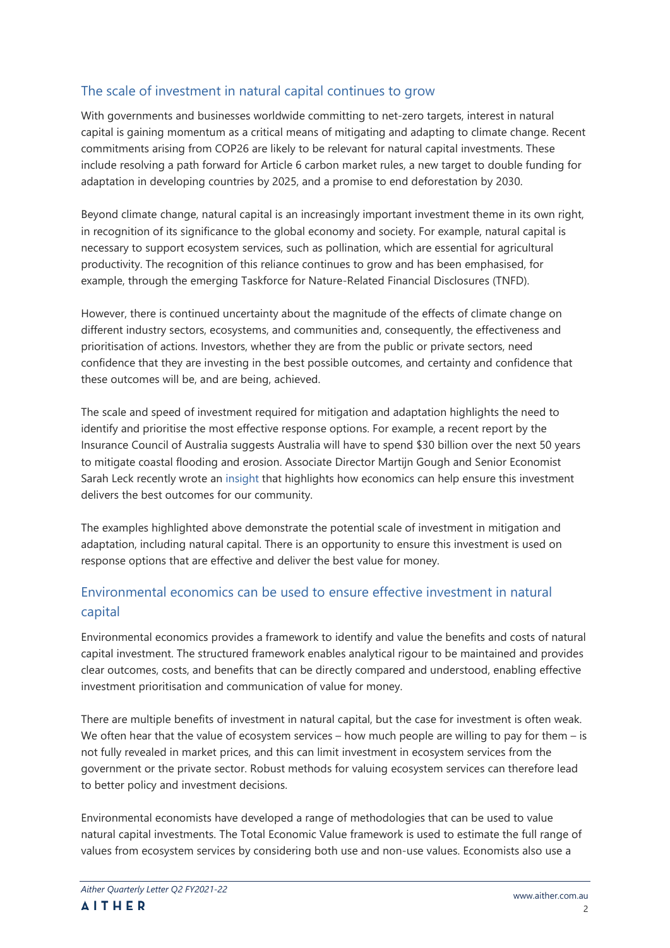#### The scale of investment in natural capital continues to grow

With governments and businesses worldwide committing to net-zero targets, interest in natural capital is gaining momentum as a critical means of mitigating and adapting to climate change. Recent commitments arising from COP26 are likely to be relevant for natural capital investments. These include resolving a path forward for Article 6 carbon market rules, a new target to double funding for adaptation in developing countries by 2025, and a promise to end deforestation by 2030.

Beyond climate change, natural capital is an increasingly important investment theme in its own right, in recognition of its significance to the global economy and society. For example, natural capital is necessary to support ecosystem services, such as pollination, which are essential for agricultural productivity. The recognition of this reliance continues to grow and has been emphasised, for example, through the emerging Taskforce for Nature-Related Financial Disclosures (TNFD).

However, there is continued uncertainty about the magnitude of the effects of climate change on different industry sectors, ecosystems, and communities and, consequently, the effectiveness and prioritisation of actions. Investors, whether they are from the public or private sectors, need confidence that they are investing in the best possible outcomes, and certainty and confidence that these outcomes will be, and are being, achieved.

The scale and speed of investment required for mitigation and adaptation highlights the need to identify and prioritise the most effective response options. For example, a recent report by the Insurance Council of Australia suggests Australia will have to spend \$30 billion over the next 50 years to mitigate coastal flooding and erosion. Associate Director Martijn Gough and Senior Economist Sarah Leck recently wrote an [insight](https://www.aither.com.au/communicating-economics-to-influence-coastal-adaptation-decision-making) that highlights how economics can help ensure this investment delivers the best outcomes for our community.

The examples highlighted above demonstrate the potential scale of investment in mitigation and adaptation, including natural capital. There is an opportunity to ensure this investment is used on response options that are effective and deliver the best value for money.

### Environmental economics can be used to ensure effective investment in natural capital

Environmental economics provides a framework to identify and value the benefits and costs of natural capital investment. The structured framework enables analytical rigour to be maintained and provides clear outcomes, costs, and benefits that can be directly compared and understood, enabling effective investment prioritisation and communication of value for money.

There are multiple benefits of investment in natural capital, but the case for investment is often weak. We often hear that the value of ecosystem services  $-$  how much people are willing to pay for them  $-$  is not fully revealed in market prices, and this can limit investment in ecosystem services from the government or the private sector. Robust methods for valuing ecosystem services can therefore lead to better policy and investment decisions.

Environmental economists have developed a range of methodologies that can be used to value natural capital investments. The Total Economic Value framework is used to estimate the full range of values from ecosystem services by considering both use and non-use values. Economists also use a